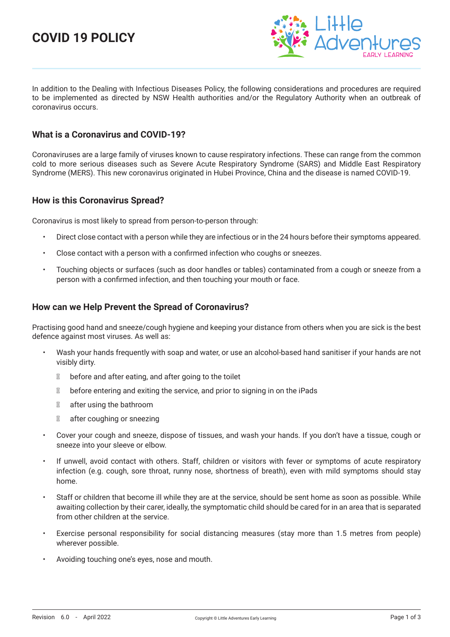# **COVID 19 POLICY**



In addition to the Dealing with Infectious Diseases Policy, the following considerations and procedures are required to be implemented as directed by NSW Health authorities and/or the Regulatory Authority when an outbreak of coronavirus occurs.

#### **What is a Coronavirus and COVID-19?**

Coronaviruses are a large family of viruses known to cause respiratory infections. These can range from the common cold to more serious diseases such as Severe Acute Respiratory Syndrome (SARS) and Middle East Respiratory Syndrome (MERS). This new coronavirus originated in Hubei Province, China and the disease is named COVID-19.

### **How is this Coronavirus Spread?**

Coronavirus is most likely to spread from person-to-person through:

- Direct close contact with a person while they are infectious or in the 24 hours before their symptoms appeared.
- Close contact with a person with a confirmed infection who coughs or sneezes.
- Touching objects or surfaces (such as door handles or tables) contaminated from a cough or sneeze from a person with a confirmed infection, and then touching your mouth or face.

### **How can we Help Prevent the Spread of Coronavirus?**

Practising good hand and sneeze/cough hygiene and keeping your distance from others when you are sick is the best defence against most viruses. As well as:

- Wash your hands frequently with soap and water, or use an alcohol-based hand sanitiser if your hands are not visibly dirty.
	- before and after eating, and after going to the toilet
	- before entering and exiting the service, and prior to signing in on the iPads
	- after using the bathroom
	- after coughing or sneezing
- Cover your cough and sneeze, dispose of tissues, and wash your hands. If you don't have a tissue, cough or sneeze into your sleeve or elbow.
- If unwell, avoid contact with others. Staff, children or visitors with fever or symptoms of acute respiratory infection (e.g. cough, sore throat, runny nose, shortness of breath), even with mild symptoms should stay home.
- Staff or children that become ill while they are at the service, should be sent home as soon as possible. While awaiting collection by their carer, ideally, the symptomatic child should be cared for in an area that is separated from other children at the service.
- Exercise personal responsibility for social distancing measures (stay more than 1.5 metres from people) wherever possible.
- Avoiding touching one's eyes, nose and mouth.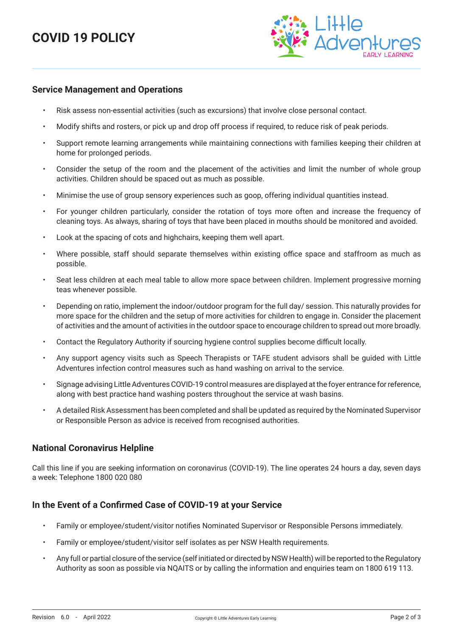# **COVID 19 POLICY**



#### **Service Management and Operations**

- Risk assess non-essential activities (such as excursions) that involve close personal contact.
- Modify shifts and rosters, or pick up and drop off process if required, to reduce risk of peak periods.
- Support remote learning arrangements while maintaining connections with families keeping their children at home for prolonged periods.
- Consider the setup of the room and the placement of the activities and limit the number of whole group activities. Children should be spaced out as much as possible.
- Minimise the use of group sensory experiences such as goop, offering individual quantities instead.
- For younger children particularly, consider the rotation of toys more often and increase the frequency of cleaning toys. As always, sharing of toys that have been placed in mouths should be monitored and avoided.
- Look at the spacing of cots and highchairs, keeping them well apart.
- Where possible, staff should separate themselves within existing office space and staffroom as much as possible.
- Seat less children at each meal table to allow more space between children. Implement progressive morning teas whenever possible.
- Depending on ratio, implement the indoor/outdoor program for the full day/ session. This naturally provides for more space for the children and the setup of more activities for children to engage in. Consider the placement of activities and the amount of activities in the outdoor space to encourage children to spread out more broadly.
- Contact the Regulatory Authority if sourcing hygiene control supplies become difficult locally.
- Any support agency visits such as Speech Therapists or TAFE student advisors shall be guided with Little Adventures infection control measures such as hand washing on arrival to the service.
- Signage advising Little Adventures COVID-19 control measures are displayed at the foyer entrance for reference, along with best practice hand washing posters throughout the service at wash basins.
- A detailed Risk Assessment has been completed and shall be updated as required by the Nominated Supervisor or Responsible Person as advice is received from recognised authorities.

#### **National Coronavirus Helpline**

Call this line if you are seeking information on coronavirus (COVID-19). The line operates 24 hours a day, seven days a week: Telephone 1800 020 080

#### **In the Event of a Confirmed Case of COVID-19 at your Service**

- Family or employee/student/visitor notifies Nominated Supervisor or Responsible Persons immediately.
- Family or employee/student/visitor self isolates as per NSW Health requirements.
- Any full or partial closure of the service (self initiated or directed by NSW Health) will be reported to the Regulatory Authority as soon as possible via NQAITS or by calling the information and enquiries team on 1800 619 113.